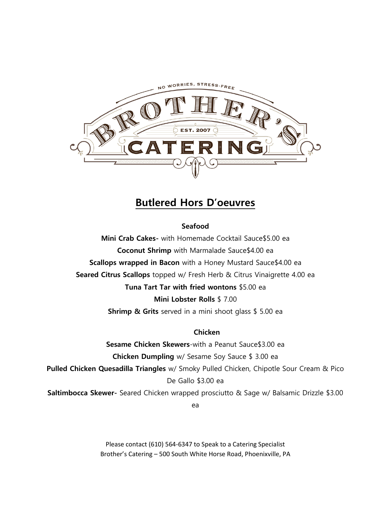

# **Butlered Hors D'oeuvres**

### **Seafood**

**Mini Crab Cakes-** with Homemade Cocktail Sauce\$5.00 ea **Coconut Shrimp** with Marmalade Sauce\$4.00 ea **Scallops wrapped in Bacon** with a Honey Mustard Sauce\$4.00 ea **Seared Citrus Scallops** topped w/ Fresh Herb & Citrus Vinaigrette 4.00 ea **Tuna Tart Tar with fried wontons** \$5.00 ea **Mini Lobster Rolls** \$ 7.00

**Shrimp & Grits** served in a mini shoot glass \$ 5.00 ea

**Chicken**

**Sesame Chicken Skewers**-with a Peanut Sauce\$3.00 ea **Chicken Dumpling** w/ Sesame Soy Sauce \$ 3.00 ea **Pulled Chicken Quesadilla Triangles** w/ Smoky Pulled Chicken, Chipotle Sour Cream & Pico De Gallo \$3.00 ea **Saltimbocca Skewer-** Seared Chicken wrapped prosciutto & Sage w/ Balsamic Drizzle \$3.00 ea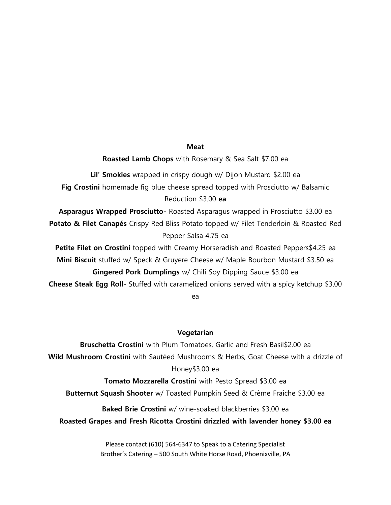### **Meat**

**Roasted Lamb Chops** with Rosemary & Sea Salt \$7.00 ea

**Lil' Smokies** wrapped in crispy dough w/ Dijon Mustard \$2.00 ea **Fig Crostini** homemade fig blue cheese spread topped with Prosciutto w/ Balsamic Reduction \$3.00 **ea**

**Asparagus Wrapped Prosciutto**- Roasted Asparagus wrapped in Prosciutto \$3.00 ea **Potato & Filet Canapés** Crispy Red Bliss Potato topped w/ Filet Tenderloin & Roasted Red Pepper Salsa 4.75 ea

**Petite Filet on Crostini** topped with Creamy Horseradish and Roasted Peppers\$4.25 ea **Mini Biscuit** stuffed w/ Speck & Gruyere Cheese w/ Maple Bourbon Mustard \$3.50 ea **Gingered Pork Dumplings** w/ Chili Soy Dipping Sauce \$3.00 ea **Cheese Steak Egg Roll**- Stuffed with caramelized onions served with a spicy ketchup \$3.00

ea

### **Vegetarian**

**Bruschetta Crostini** with Plum Tomatoes, Garlic and Fresh Basil\$2.00 ea **Wild Mushroom Crostini** with Sautéed Mushrooms & Herbs, Goat Cheese with a drizzle of Honey\$3.00 ea

**Tomato Mozzarella Crostini** with Pesto Spread \$3.00 ea **Butternut Squash Shooter** w/ Toasted Pumpkin Seed & Crème Fraiche \$3.00 ea

**Baked Brie Crostini** w/ wine-soaked blackberries \$3.00 ea

**Roasted Grapes and Fresh Ricotta Crostini drizzled with lavender honey \$3.00 ea**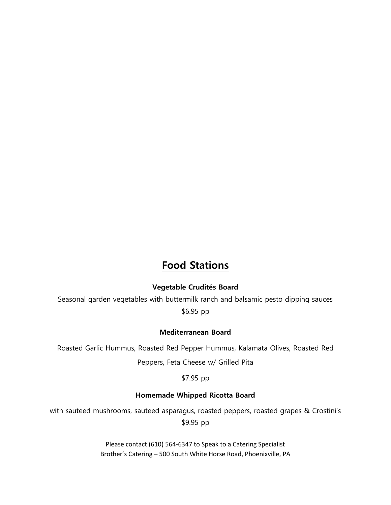# **Food Stations**

### **Vegetable Crudités Board**

Seasonal garden vegetables with buttermilk ranch and balsamic pesto dipping sauces \$6.95 pp

### **Mediterranean Board**

Roasted Garlic Hummus, Roasted Red Pepper Hummus, Kalamata Olives, Roasted Red Peppers, Feta Cheese w/ Grilled Pita

\$7.95 pp

### **Homemade Whipped Ricotta Board**

with sauteed mushrooms, sauteed asparagus, roasted peppers, roasted grapes & Crostini's \$9.95 pp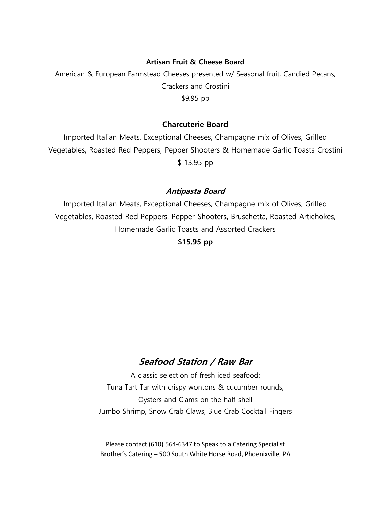### **Artisan Fruit & Cheese Board**

American & European Farmstead Cheeses presented w/ Seasonal fruit, Candied Pecans, Crackers and Crostini \$9.95 pp

### **Charcuterie Board**

Imported Italian Meats, Exceptional Cheeses, Champagne mix of Olives, Grilled Vegetables, Roasted Red Peppers, Pepper Shooters & Homemade Garlic Toasts Crostini \$ 13.95 pp

### **Antipasta Board**

Imported Italian Meats, Exceptional Cheeses, Champagne mix of Olives, Grilled Vegetables, Roasted Red Peppers, Pepper Shooters, Bruschetta, Roasted Artichokes, Homemade Garlic Toasts and Assorted Crackers

**\$15.95 pp**

# **Seafood Station / Raw Bar**

A classic selection of fresh iced seafood: Tuna Tart Tar with crispy wontons & cucumber rounds, Oysters and Clams on the half-shell Jumbo Shrimp, Snow Crab Claws, Blue Crab Cocktail Fingers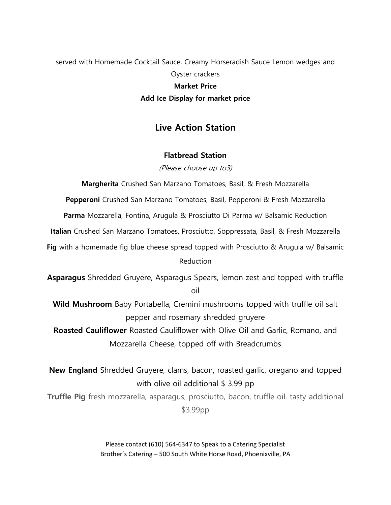# served with Homemade Cocktail Sauce, Creamy Horseradish Sauce Lemon wedges and Oyster crackers **Market Price Add Ice Display for market price**

## **Live Action Station**

### **Flatbread Station**

(Please choose up to3)

**Margherita** Crushed San Marzano Tomatoes, Basil, & Fresh Mozzarella

**Pepperoni** Crushed San Marzano Tomatoes, Basil, Pepperoni & Fresh Mozzarella

**Parma** Mozzarella, Fontina, Arugula & Prosciutto Di Parma w/ Balsamic Reduction

**Italian** Crushed San Marzano Tomatoes, Prosciutto, Soppressata, Basil, & Fresh Mozzarella

**Fig** with a homemade fig blue cheese spread topped with Prosciutto & Arugula w/ Balsamic Reduction

**Asparagus** Shredded Gruyere, Asparagus Spears, lemon zest and topped with truffle oil

**Wild Mushroom** Baby Portabella, Cremini mushrooms topped with truffle oil salt pepper and rosemary shredded gruyere

**Roasted Cauliflower** Roasted Cauliflower with Olive Oil and Garlic, Romano, and Mozzarella Cheese, topped off with Breadcrumbs

**New England** Shredded Gruyere, clams, bacon, roasted garlic, oregano and topped with olive oil additional \$3.99 pp

**Truffle Pig** fresh mozzarella, asparagus, prosciutto, bacon, truffle oil. tasty additional \$3.99pp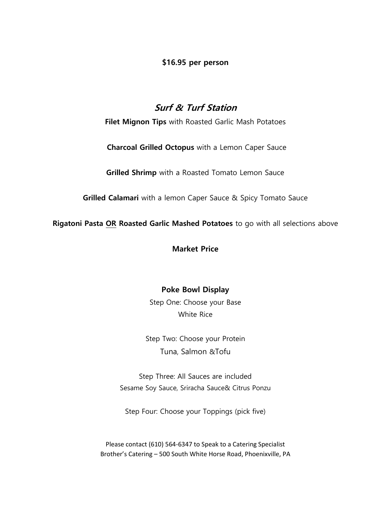**\$16.95 per person**

# **Surf & Turf Station**

**Filet Mignon Tips** with Roasted Garlic Mash Potatoes

**Charcoal Grilled Octopus** with a Lemon Caper Sauce

**Grilled Shrimp** with a Roasted Tomato Lemon Sauce

**Grilled Calamari** with a lemon Caper Sauce & Spicy Tomato Sauce

**Rigatoni Pasta OR Roasted Garlic Mashed Potatoes** to go with all selections above

**Market Price**

## **Poke Bowl Display**

Step One: Choose your Base White Rice

Step Two: Choose your Protein [Tuna](https://ordering.chownow.com/yelp/order/location/11059/M_131359_1003830?opportunity_token=7cca1a2d3c8b21c27c6b25bf6bfc7c80&yelp_site=www), [Salmon](https://ordering.chownow.com/yelp/order/location/11059/M_131359_1003830?opportunity_token=7cca1a2d3c8b21c27c6b25bf6bfc7c80&yelp_site=www) &[Tofu](https://ordering.chownow.com/yelp/order/location/11059/M_131359_1003830?opportunity_token=7cca1a2d3c8b21c27c6b25bf6bfc7c80&yelp_site=www)

Step Three: All Sauces are included [Sesame](https://ordering.chownow.com/yelp/order/location/11059/M_131359_1003830?opportunity_token=7cca1a2d3c8b21c27c6b25bf6bfc7c80&yelp_site=www) Soy Sauce, Sriracha Sauce& [Citrus Ponzu](https://ordering.chownow.com/yelp/order/location/11059/M_131359_1003830?opportunity_token=7cca1a2d3c8b21c27c6b25bf6bfc7c80&yelp_site=www)

Step Four: Choose your Toppings (pick five)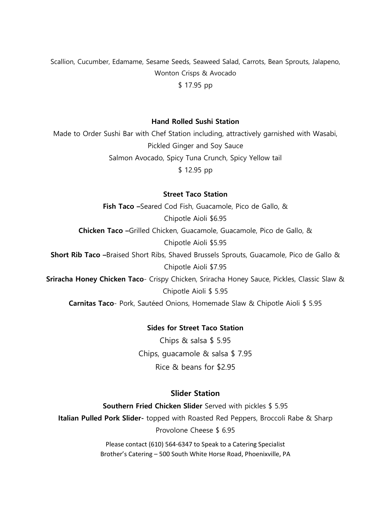[Scallion, Cucumber, Edamame, Sesame Seeds, Seaweed Salad, Carrots](https://ordering.chownow.com/yelp/order/location/11059/M_131359_1003830?opportunity_token=7cca1a2d3c8b21c27c6b25bf6bfc7c80&yelp_site=www), Bean [Sprouts, Jalapeno,](https://ordering.chownow.com/yelp/order/location/11059/M_131359_1003830?opportunity_token=7cca1a2d3c8b21c27c6b25bf6bfc7c80&yelp_site=www) [Wonton Crisps](https://ordering.chownow.com/yelp/order/location/11059/M_131359_1003830?opportunity_token=7cca1a2d3c8b21c27c6b25bf6bfc7c80&yelp_site=www) & [Avocado](https://ordering.chownow.com/yelp/order/location/11059/M_131359_1003830?opportunity_token=7cca1a2d3c8b21c27c6b25bf6bfc7c80&yelp_site=www) \$ 17.95 pp

#### **Hand Rolled Sushi Station**

Made to Order Sushi Bar with Chef Station including, attractively garnished with Wasabi, Pickled Ginger and Soy Sauce Salmon Avocado, Spicy Tuna Crunch, Spicy Yellow tail \$ 12.95 pp

### **Street Taco Station**

**Fish Taco –**Seared Cod Fish, Guacamole, Pico de Gallo, & Chipotle Aioli \$6.95 **Chicken Taco –**Grilled Chicken, Guacamole, Guacamole, Pico de Gallo, & Chipotle Aioli \$5.95 **Short Rib Taco –**Braised Short Ribs, Shaved Brussels Sprouts, Guacamole, Pico de Gallo & Chipotle Aioli \$7.95 **Sriracha Honey Chicken Taco**- Crispy Chicken, Sriracha Honey Sauce, Pickles, Classic Slaw & Chipotle Aioli \$ 5.95 **Carnitas Taco**- Pork, Sautéed Onions, Homemade Slaw & Chipotle Aioli \$ 5.95

### **Sides for Street Taco Station**

Chips & salsa \$ 5.95 Chips, guacamole & salsa \$ 7.95 Rice & beans for \$2.95

### **Slider Station**

**Southern Fried Chicken Slider** Served with pickles \$ 5.95 **Italian Pulled Pork Slider-** topped with Roasted Red Peppers, Broccoli Rabe & Sharp Provolone Cheese \$ 6.95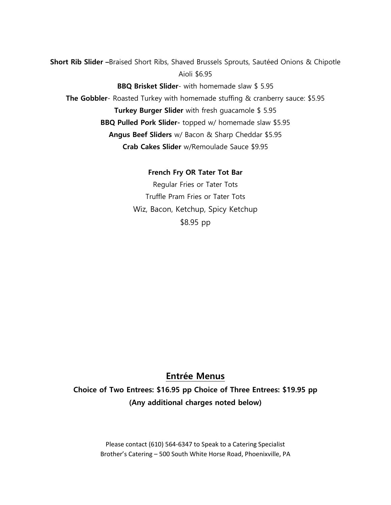**Short Rib Slider –**Braised Short Ribs, Shaved Brussels Sprouts, Sautéed Onions & Chipotle Aioli \$6.95

**BBQ Brisket Slider**- with homemade slaw \$ 5.95 **The Gobbler**- Roasted Turkey with homemade stuffing & cranberry sauce: \$5.95 **Turkey Burger Slider** with fresh guacamole \$ 5.95 **BBQ Pulled Pork Slider-** topped w/ homemade slaw \$5.95 **Angus Beef Sliders** w/ Bacon & Sharp Cheddar \$5.95 **Crab Cakes Slider** w/Remoulade Sauce \$9.95

> **French Fry OR Tater Tot Bar** Regular Fries or Tater Tots Truffle Pram Fries or Tater Tots Wiz, Bacon, Ketchup, Spicy Ketchup \$8.95 pp

## **Entrée Menus**

**Choice of Two Entrees: \$16.95 pp Choice of Three Entrees: \$19.95 pp (Any additional charges noted below)**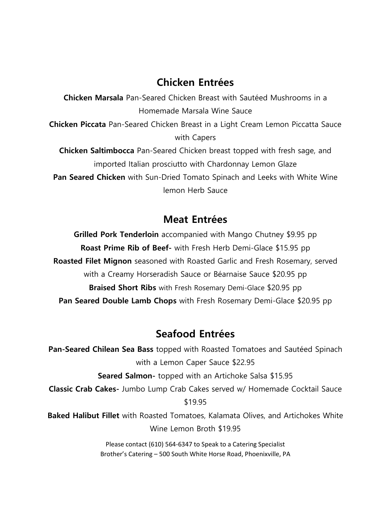# **Chicken Entrées**

**Chicken Marsala** Pan-Seared Chicken Breast with Sautéed Mushrooms in a Homemade Marsala Wine Sauce **Chicken Piccata** Pan-Seared Chicken Breast in a Light Cream Lemon Piccatta Sauce with Capers **Chicken Saltimbocca** Pan-Seared Chicken breast topped with fresh sage, and imported Italian prosciutto with Chardonnay Lemon Glaze **Pan Seared Chicken** with Sun-Dried Tomato Spinach and Leeks with White Wine lemon Herb Sauce

# **Meat Entrées**

**Grilled Pork Tenderloin** accompanied with Mango Chutney \$9.95 pp **Roast Prime Rib of Beef-** with Fresh Herb Demi-Glace \$15.95 pp **Roasted Filet Mignon** seasoned with Roasted Garlic and Fresh Rosemary, served with a Creamy Horseradish Sauce or Béarnaise Sauce \$20.95 pp **Braised Short Ribs** with Fresh Rosemary Demi-Glace \$20.95 pp **Pan Seared Double Lamb Chops** with Fresh Rosemary Demi-Glace \$20.95 pp

# **Seafood Entrées**

**Pan-Seared Chilean Sea Bass** topped with Roasted Tomatoes and Sautéed Spinach with a Lemon Caper Sauce \$22.95 **Seared Salmon-** topped with an Artichoke Salsa \$15.95 **Classic Crab Cakes-** Jumbo Lump Crab Cakes served w/ Homemade Cocktail Sauce \$19.95 **Baked Halibut Fillet** with Roasted Tomatoes, Kalamata Olives, and Artichokes White Wine Lemon Broth \$19.95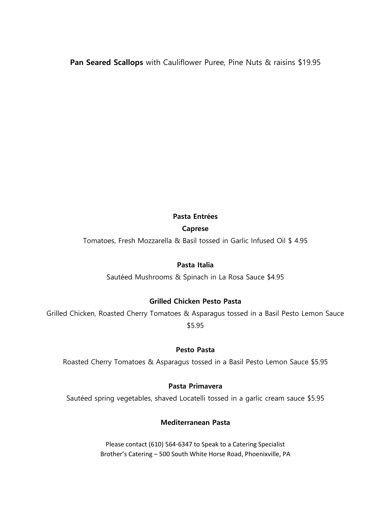**Pan Seared Scallops** with Cauliflower Puree, Pine Nuts & raisins \$19.95

### **Pasta Entrées**

## **Caprese**

Tomatoes, Fresh Mozzarella & Basil tossed in Garlic Infused Oil \$ 4.95

## **Pasta Italia**

Sautéed Mushrooms & Spinach in La Rosa Sauce \$4.95

## **Grilled Chicken Pesto Pasta**

Grilled Chicken, Roasted Cherry Tomatoes & Asparagus tossed in a Basil Pesto Lemon Sauce \$5.95

### **Pesto Pasta**

Roasted Cherry Tomatoes & Asparagus tossed in a Basil Pesto Lemon Sauce \$5.95

## **Pasta Primavera**

Sautéed spring vegetables, shaved Locatelli tossed in a garlic cream sauce \$5.95

## **Mediterranean Pasta**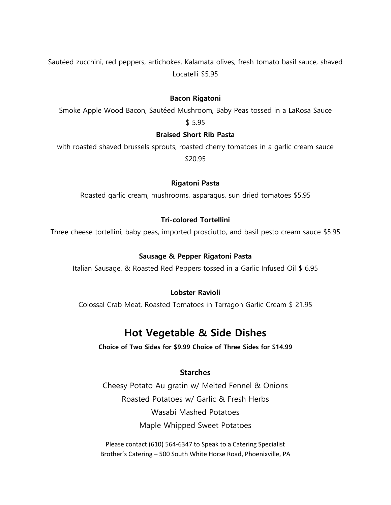Sautéed zucchini, red peppers, artichokes, Kalamata olives, fresh tomato basil sauce, shaved Locatelli \$5.95

### **Bacon Rigatoni**

Smoke Apple Wood Bacon, Sautéed Mushroom, Baby Peas tossed in a LaRosa Sauce \$ 5.95

### **Braised Short Rib Pasta**

with roasted shaved brussels sprouts, roasted cherry tomatoes in a garlic cream sauce \$20.95

#### **Rigatoni Pasta**

Roasted garlic cream, mushrooms, asparagus, sun dried tomatoes \$5.95

### **Tri-colored Tortellini**

Three cheese tortellini, baby peas, imported prosciutto, and basil pesto cream sauce \$5.95

#### **Sausage & Pepper Rigatoni Pasta**

Italian Sausage, & Roasted Red Peppers tossed in a Garlic Infused Oil \$ 6.95

### **Lobster Ravioli**

Colossal Crab Meat, Roasted Tomatoes in Tarragon Garlic Cream \$ 21.95

# **Hot Vegetable & Side Dishes**

**Choice of Two Sides for \$9.99 Choice of Three Sides for \$14.99**

### **Starches**

Cheesy Potato Au gratin w/ Melted Fennel & Onions Roasted Potatoes w/ Garlic & Fresh Herbs Wasabi Mashed Potatoes Maple Whipped Sweet Potatoes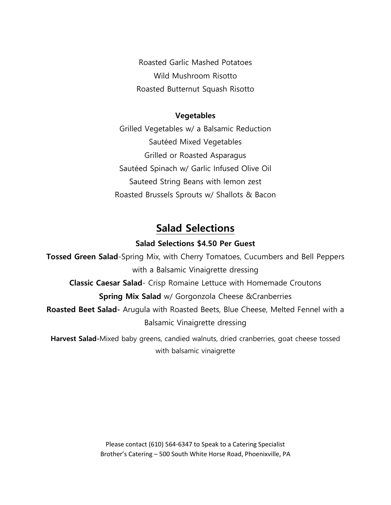Roasted Garlic Mashed Potatoes Wild Mushroom Risotto Roasted Butternut Squash Risotto

### **Vegetables**

Grilled Vegetables w/ a Balsamic Reduction Sautéed Mixed Vegetables Grilled or Roasted Asparagus Sautéed Spinach w/ Garlic Infused Olive Oil Sauteed String Beans with lemon zest Roasted Brussels Sprouts w/ Shallots & Bacon

# **Salad Selections**

## **Salad Selections \$4.50 Per Guest**

**Tossed Green Salad**-Spring Mix, with Cherry Tomatoes, Cucumbers and Bell Peppers with a Balsamic Vinaigrette dressing **Classic Caesar Salad**- Crisp Romaine Lettuce with Homemade Croutons **Spring Mix Salad** w/ Gorgonzola Cheese &Cranberries **Roasted Beet Salad-** Arugula with Roasted Beets, Blue Cheese, Melted Fennel with a Balsamic Vinaigrette dressing **Harvest Salad-**Mixed baby greens, candied walnuts, dried cranberries, goat cheese tossed

with balsamic vinaigrette